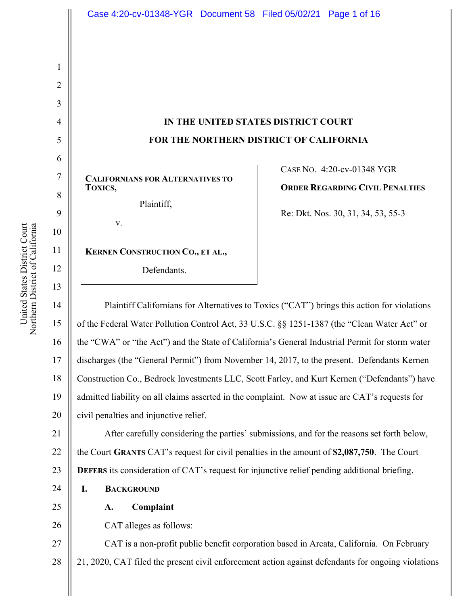# **IN THE UNITED STATES DISTRICT COURT FOR THE NORTHERN DISTRICT OF CALIFORNIA**

**CALIFORNIANS FOR ALTERNATIVES TO TOXICS,**

Plaintiff,

v.

**KERNEN CONSTRUCTION CO., ET AL.,**

Defendants.

CASE NO. 4:20-cv-01348 YGR

**ORDER REGARDING CIVIL PENALTIES**

Re: Dkt. Nos. 30, 31, 34, 53, 55-3

14 15 16 17 18 19 20 Plaintiff Californians for Alternatives to Toxics ("CAT") brings this action for violations of the Federal Water Pollution Control Act, 33 U.S.C. §§ 1251-1387 (the "Clean Water Act" or the "CWA" or "the Act") and the State of California's General Industrial Permit for storm water discharges (the "General Permit") from November 14, 2017, to the present. Defendants Kernen Construction Co., Bedrock Investments LLC, Scott Farley, and Kurt Kernen ("Defendants") have admitted liability on all claims asserted in the complaint. Now at issue are CAT's requests for civil penalties and injunctive relief.

21 22 23 After carefully considering the parties' submissions, and for the reasons set forth below, the Court **GRANTS** CAT's request for civil penalties in the amount of **\$2,087,750**. The Court **DEFERS** its consideration of CAT's request for injunctive relief pending additional briefing.

- **I. BACKGROUND**
	- **A. Complaint**

CAT alleges as follows:

27 28 CAT is a non-profit public benefit corporation based in Arcata, California. On February 21, 2020, CAT filed the present civil enforcement action against defendants for ongoing violations

1

2

3

4

5

6

7

8

9

10

11

12

13

24

25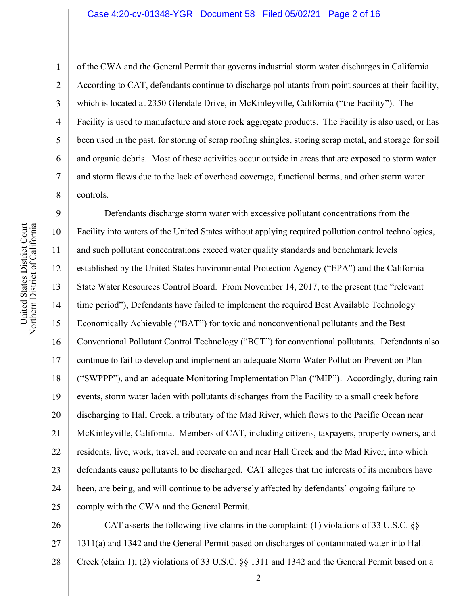United States District Court<br>Northern District of California United States District Court Northern District of California

1

2

3

4

5

6

7

8

of the CWA and the General Permit that governs industrial storm water discharges in California. According to CAT, defendants continue to discharge pollutants from point sources at their facility, which is located at 2350 Glendale Drive, in McKinleyville, California ("the Facility"). The Facility is used to manufacture and store rock aggregate products. The Facility is also used, or has been used in the past, for storing of scrap roofing shingles, storing scrap metal, and storage for soil and organic debris. Most of these activities occur outside in areas that are exposed to storm water and storm flows due to the lack of overhead coverage, functional berms, and other storm water controls.

9 10 11 12 13 14 15 16 17 18 19 20 21 22 23 24 25 Defendants discharge storm water with excessive pollutant concentrations from the Facility into waters of the United States without applying required pollution control technologies, and such pollutant concentrations exceed water quality standards and benchmark levels established by the United States Environmental Protection Agency ("EPA") and the California State Water Resources Control Board. From November 14, 2017, to the present (the "relevant time period"), Defendants have failed to implement the required Best Available Technology Economically Achievable ("BAT") for toxic and nonconventional pollutants and the Best Conventional Pollutant Control Technology ("BCT") for conventional pollutants. Defendants also continue to fail to develop and implement an adequate Storm Water Pollution Prevention Plan ("SWPPP"), and an adequate Monitoring Implementation Plan ("MIP"). Accordingly, during rain events, storm water laden with pollutants discharges from the Facility to a small creek before discharging to Hall Creek, a tributary of the Mad River, which flows to the Pacific Ocean near McKinleyville, California. Members of CAT, including citizens, taxpayers, property owners, and residents, live, work, travel, and recreate on and near Hall Creek and the Mad River, into which defendants cause pollutants to be discharged. CAT alleges that the interests of its members have been, are being, and will continue to be adversely affected by defendants' ongoing failure to comply with the CWA and the General Permit.

26 27 28 CAT asserts the following five claims in the complaint: (1) violations of 33 U.S.C. §§ 1311(a) and 1342 and the General Permit based on discharges of contaminated water into Hall Creek (claim 1); (2) violations of 33 U.S.C. §§ 1311 and 1342 and the General Permit based on a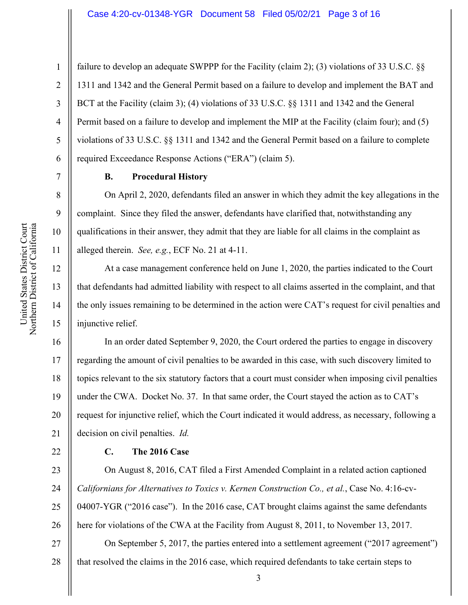failure to develop an adequate SWPPP for the Facility (claim 2); (3) violations of 33 U.S.C. §§ 1311 and 1342 and the General Permit based on a failure to develop and implement the BAT and BCT at the Facility (claim 3); (4) violations of 33 U.S.C. §§ 1311 and 1342 and the General Permit based on a failure to develop and implement the MIP at the Facility (claim four); and (5) violations of 33 U.S.C. §§ 1311 and 1342 and the General Permit based on a failure to complete required Exceedance Response Actions ("ERA") (claim 5).

## **B. Procedural History**

On April 2, 2020, defendants filed an answer in which they admit the key allegations in the complaint. Since they filed the answer, defendants have clarified that, notwithstanding any qualifications in their answer, they admit that they are liable for all claims in the complaint as alleged therein. *See, e.g.*, ECF No. 21 at 4-11.

At a case management conference held on June 1, 2020, the parties indicated to the Court that defendants had admitted liability with respect to all claims asserted in the complaint, and that the only issues remaining to be determined in the action were CAT's request for civil penalties and injunctive relief.

16 17 18 19 20 21 In an order dated September 9, 2020, the Court ordered the parties to engage in discovery regarding the amount of civil penalties to be awarded in this case, with such discovery limited to topics relevant to the six statutory factors that a court must consider when imposing civil penalties under the CWA. Docket No. 37. In that same order, the Court stayed the action as to CAT's request for injunctive relief, which the Court indicated it would address, as necessary, following a decision on civil penalties. *Id.* 

22

# **C. The 2016 Case**

23 24 25 26 On August 8, 2016, CAT filed a First Amended Complaint in a related action captioned *Californians for Alternatives to Toxics v. Kernen Construction Co., et al.*, Case No. 4:16-cv-04007-YGR ("2016 case"). In the 2016 case, CAT brought claims against the same defendants here for violations of the CWA at the Facility from August 8, 2011, to November 13, 2017.

27 28 On September 5, 2017, the parties entered into a settlement agreement ("2017 agreement") that resolved the claims in the 2016 case, which required defendants to take certain steps to

1

2

3

4

5

6

7

8

9

10

11

12

13

14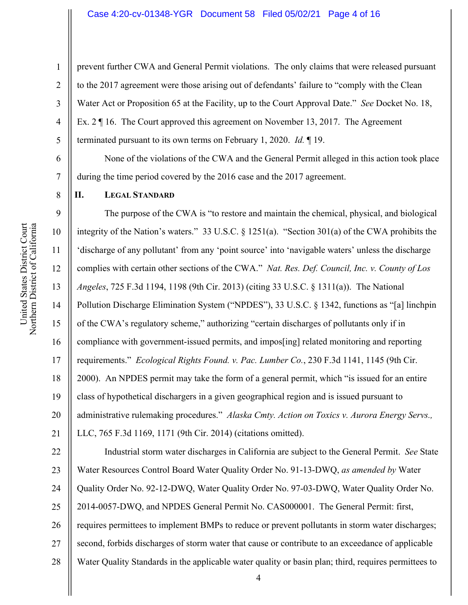2 3

4

5

6

7

8

1

prevent further CWA and General Permit violations. The only claims that were released pursuant to the 2017 agreement were those arising out of defendants' failure to "comply with the Clean Water Act or Proposition 65 at the Facility, up to the Court Approval Date." *See* Docket No. 18, Ex. 2 ¶ 16. The Court approved this agreement on November 13, 2017. The Agreement terminated pursuant to its own terms on February 1, 2020. *Id.* ¶ 19.

None of the violations of the CWA and the General Permit alleged in this action took place during the time period covered by the 2016 case and the 2017 agreement.

**II. LEGAL STANDARD**

9 10 11 12 13 14 15 16 17 18 19 20 21 The purpose of the CWA is "to restore and maintain the chemical, physical, and biological integrity of the Nation's waters." 33 U.S.C. § 1251(a). "Section 301(a) of the CWA prohibits the 'discharge of any pollutant' from any 'point source' into 'navigable waters' unless the discharge complies with certain other sections of the CWA." *Nat. Res. Def. Council, Inc. v. County of Los Angeles*, 725 F.3d 1194, 1198 (9th Cir. 2013) (citing 33 U.S.C. § 1311(a)). The National Pollution Discharge Elimination System ("NPDES"), 33 U.S.C. § 1342, functions as "[a] linchpin of the CWA's regulatory scheme," authorizing "certain discharges of pollutants only if in compliance with government-issued permits, and impos[ing] related monitoring and reporting requirements." *Ecological Rights Found. v. Pac. Lumber Co.*, 230 F.3d 1141, 1145 (9th Cir. 2000). An NPDES permit may take the form of a general permit, which "is issued for an entire class of hypothetical dischargers in a given geographical region and is issued pursuant to administrative rulemaking procedures." *Alaska Cmty. Action on Toxics v. Aurora Energy Servs.,* LLC, 765 F.3d 1169, 1171 (9th Cir. 2014) (citations omitted).

22 23 24 25 26 27 28 Industrial storm water discharges in California are subject to the General Permit. *See* State Water Resources Control Board Water Quality Order No. 91-13-DWQ, *as amended by* Water Quality Order No. 92-12-DWQ, Water Quality Order No. 97-03-DWQ, Water Quality Order No. 2014-0057-DWQ, and NPDES General Permit No. CAS000001. The General Permit: first, requires permittees to implement BMPs to reduce or prevent pollutants in storm water discharges; second, forbids discharges of storm water that cause or contribute to an exceedance of applicable Water Quality Standards in the applicable water quality or basin plan; third, requires permittees to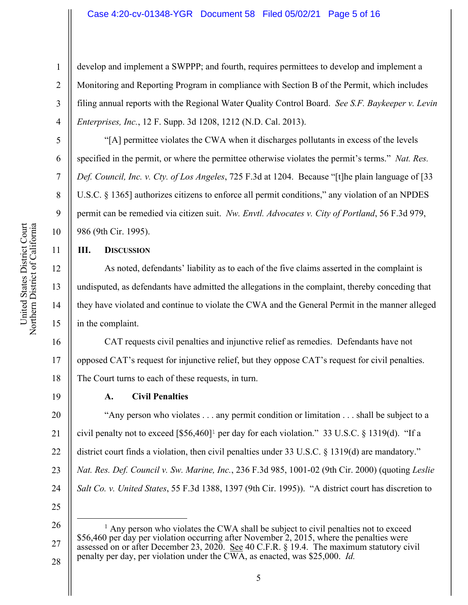develop and implement a SWPPP; and fourth, requires permittees to develop and implement a Monitoring and Reporting Program in compliance with Section B of the Permit, which includes filing annual reports with the Regional Water Quality Control Board. *See S.F. Baykeeper v. Levin Enterprises, Inc.*, 12 F. Supp. 3d 1208, 1212 (N.D. Cal. 2013).

"[A] permittee violates the CWA when it discharges pollutants in excess of the levels specified in the permit, or where the permittee otherwise violates the permit's terms." *Nat. Res. Def. Council, Inc. v. Cty. of Los Angeles*, 725 F.3d at 1204. Because "[t]he plain language of [33 U.S.C. § 1365] authorizes citizens to enforce all permit conditions," any violation of an NPDES permit can be remedied via citizen suit. *Nw. Envtl. Advocates v. City of Portland*, 56 F.3d 979, 986 (9th Cir. 1995).

**III. DISCUSSION**

As noted, defendants' liability as to each of the five claims asserted in the complaint is undisputed, as defendants have admitted the allegations in the complaint, thereby conceding that they have violated and continue to violate the CWA and the General Permit in the manner alleged in the complaint.

16 17 18 CAT requests civil penalties and injunctive relief as remedies. Defendants have not opposed CAT's request for injunctive relief, but they oppose CAT's request for civil penalties. The Court turns to each of these requests, in turn.

19

# **A. Civil Penalties**

20 21 22 23 24 "Any person who violates . . . any permit condition or limitation . . . shall be subject to a civil penalty not to exceed  $[$56,460]$ <sup>1</sup> per day for each violation." 33 U.S.C. § 1319(d). "If a district court finds a violation, then civil penalties under 33 U.S.C. § 1319(d) are mandatory." *Nat. Res. Def. Council v. Sw. Marine, Inc.*, 236 F.3d 985, 1001-02 (9th Cir. 2000) (quoting *Leslie Salt Co. v. United States*, 55 F.3d 1388, 1397 (9th Cir. 1995)). "A district court has discretion to

25 26

28

5

United States District Court<br>Northern District of California United States District Court Northern District of California

1

2

3

4

5

6

7

8

9

10

11

12

13

14

<sup>27</sup>  $<sup>1</sup>$  Any person who violates the CWA shall be subject to civil penalties not to exceed</sup> \$56,460 per day per violation occurring after November 2, 2015, where the penalties were assessed on or after December 23, 2020. See 40 C.F.R. § 19.4. The maximum statutory civil penalty per day, per violation under the CWA, as enacted, was \$25,000. *Id.*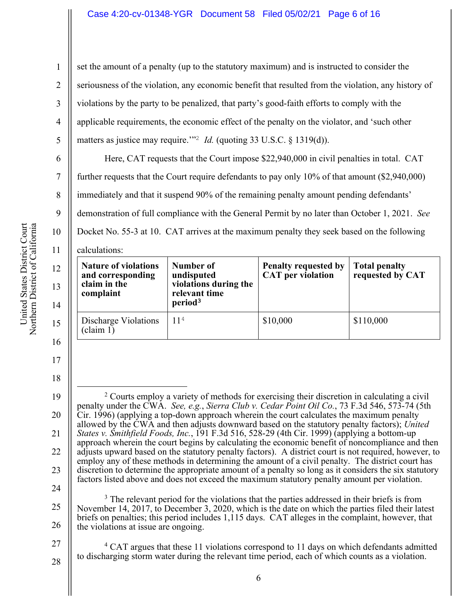set the amount of a penalty (up to the statutory maximum) and is instructed to consider the seriousness of the violation, any economic benefit that resulted from the violation, any history of violations by the party to be penalized, that party's good-faith efforts to comply with the applicable requirements, the economic effect of the penalty on the violator, and 'such other matters as justice may require.<sup>'"2</sup> *Id.* (quoting 33 U.S.C. § 1319(d)).

Here, CAT requests that the Court impose \$22,940,000 in civil penalties in total. CAT further requests that the Court require defendants to pay only 10% of that amount (\$2,940,000) immediately and that it suspend 90% of the remaining penalty amount pending defendants' demonstration of full compliance with the General Permit by no later than October 1, 2021. *See* Docket No. 55-3 at 10. CAT arrives at the maximum penalty they seek based on the following calculations:

| 12<br>13<br>14 | <b>Nature of violations</b><br>and corresponding<br>claim in the<br>complaint | Number of<br>undisputed<br>violations during the<br>relevant time<br>period <sup>3</sup> | <b>Penalty requested by</b><br><b>CAT</b> per violation | <b>Total penalty</b><br>requested by CAT |
|----------------|-------------------------------------------------------------------------------|------------------------------------------------------------------------------------------|---------------------------------------------------------|------------------------------------------|
|                | Discharge Violations<br>(claim 1)                                             | 11 <sup>4</sup>                                                                          | \$10,000                                                | \$110,000                                |

25 26 <sup>3</sup> The relevant period for the violations that the parties addressed in their briefs is from November 14, 2017, to December 3, 2020, which is the date on which the parties filed their latest briefs on penalties; this period includes 1,115 days. CAT alleges in the complaint, however, that the violations at issue are ongoing.

<sup>4</sup> CAT argues that these 11 violations correspond to 11 days on which defendants admitted to discharging storm water during the relevant time period, each of which counts as a violation.

1

2

3

4

5

6

7

8

9

10

11

16

17

18

27

28

<sup>19</sup> 20 21 22 23 24 <sup>2</sup> Courts employ a variety of methods for exercising their discretion in calculating a civil penalty under the CWA. *See, e.g.*, *Sierra Club v. Cedar Point Oil Co.*, 73 F.3d 546, 573-74 (5th Cir. 1996) (applying a top-down approach wherein the court calculates the maximum penalty allowed by the CWA and then adjusts downward based on the statutory penalty factors); *United States v. Smithfield Foods, Inc.*, 191 F.3d 516, 528-29 (4th Cir. 1999) (applying a bottom-up approach wherein the court begins by calculating the economic benefit of noncompliance and then adjusts upward based on the statutory penalty factors). A district court is not required, however, to employ any of these methods in determining the amount of a civil penalty. The district court has discretion to determine the appropriate amount of a penalty so long as it considers the six statutory factors listed above and does not exceed the maximum statutory penalty amount per violation.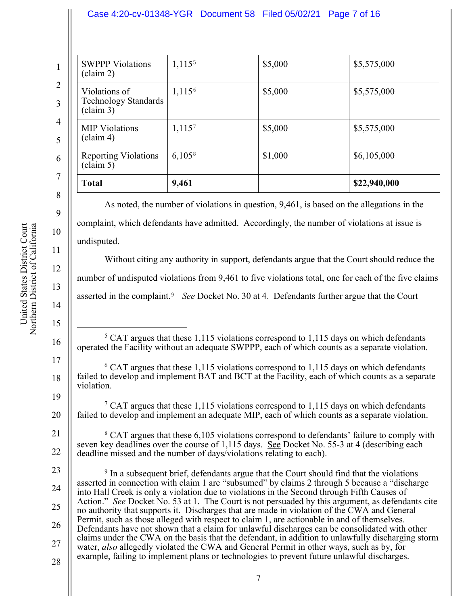## Case 4:20-cv-01348-YGR Document 58 Filed 05/02/21 Page 7 of 16

8

9

10

11

12

13

14

15

16

17

18

19

20

21

22

| 7<br>$\sim$         | <b>Total</b>                                             | 9,461              |         | \$22,940,000 |
|---------------------|----------------------------------------------------------|--------------------|---------|--------------|
| 6                   | <b>Reporting Violations</b><br>(claim 5)                 | 6,1058             | \$1,000 | \$6,105,000  |
| $\overline{4}$<br>5 | <b>MIP</b> Violations<br>claim 4)                        | 1,1157             | \$5,000 | \$5,575,000  |
| $\overline{2}$<br>3 | Violations of<br><b>Technology Standards</b><br>claim 3) | 1,1156             | \$5,000 | \$5,575,000  |
| $\mathbf{1}$        | <b>SWPPP Violations</b><br>claim 2)                      | 1,115 <sup>5</sup> | \$5,000 | \$5,575,000  |
|                     |                                                          |                    |         |              |

As noted, the number of violations in question, 9,461, is based on the allegations in the complaint, which defendants have admitted. Accordingly, the number of violations at issue is undisputed.

Without citing any authority in support, defendants argue that the Court should reduce the

number of undisputed violations from 9,461 to five violations total, one for each of the five claims

asserted in the complaint. <sup>9</sup> *See* Docket No. 30 at 4. Defendants further argue that the Court

 $5$  CAT argues that these 1,115 violations correspond to 1,115 days on which defendants operated the Facility without an adequate SWPPP, each of which counts as a separate violation.

 $6$  CAT argues that these 1,115 violations correspond to 1,115 days on which defendants failed to develop and implement BAT and BCT at the Facility, each of which counts as a separate violation.

<sup>7</sup> CAT argues that these 1,115 violations correspond to 1,115 days on which defendants failed to develop and implement an adequate MIP, each of which counts as a separate violation.

<sup>8</sup> CAT argues that these 6,105 violations correspond to defendants' failure to comply with seven key deadlines over the course of 1,115 days. See Docket No. 55-3 at 4 (describing each deadline missed and the number of days/violations relating to each).

23 24 25 26 27 28 <sup>9</sup> In a subsequent brief, defendants argue that the Court should find that the violations asserted in connection with claim 1 are "subsumed" by claims 2 through 5 because a "discharge into Hall Creek is only a violation due to violations in the Second through Fifth Causes of Action." *See* Docket No. 53 at 1. The Court is not persuaded by this argument, as defendants cite no authority that supports it. Discharges that are made in violation of the CWA and General Permit, such as those alleged with respect to claim 1, are actionable in and of themselves. Defendants have not shown that a claim for unlawful discharges can be consolidated with other claims under the CWA on the basis that the defendant, in addition to unlawfully discharging storm water, *also* allegedly violated the CWA and General Permit in other ways, such as by, for example, failing to implement plans or technologies to prevent future unlawful discharges.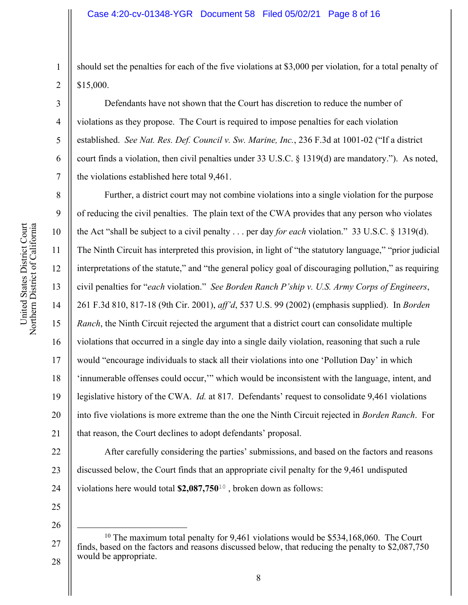should set the penalties for each of the five violations at \$3,000 per violation, for a total penalty of \$15,000.

Defendants have not shown that the Court has discretion to reduce the number of violations as they propose. The Court is required to impose penalties for each violation established. *See Nat. Res. Def. Council v. Sw. Marine, Inc.*, 236 F.3d at 1001-02 ("If a district court finds a violation, then civil penalties under 33 U.S.C. § 1319(d) are mandatory."). As noted, the violations established here total 9,461.

Further, a district court may not combine violations into a single violation for the purpose of reducing the civil penalties. The plain text of the CWA provides that any person who violates the Act "shall be subject to a civil penalty . . . per day *for each* violation." 33 U.S.C. § 1319(d). The Ninth Circuit has interpreted this provision, in light of "the statutory language," "prior judicial interpretations of the statute," and "the general policy goal of discouraging pollution," as requiring civil penalties for "*each* violation." *See Borden Ranch P'ship v. U.S. Army Corps of Engineers*, 261 F.3d 810, 817-18 (9th Cir. 2001), *aff'd*, 537 U.S. 99 (2002) (emphasis supplied). In *Borden Ranch*, the Ninth Circuit rejected the argument that a district court can consolidate multiple violations that occurred in a single day into a single daily violation, reasoning that such a rule would "encourage individuals to stack all their violations into one 'Pollution Day' in which 'innumerable offenses could occur,'" which would be inconsistent with the language, intent, and legislative history of the CWA. *Id.* at 817. Defendants' request to consolidate 9,461 violations into five violations is more extreme than the one the Ninth Circuit rejected in *Borden Ranch*. For that reason, the Court declines to adopt defendants' proposal.

22 23 24 After carefully considering the parties' submissions, and based on the factors and reasons discussed below, the Court finds that an appropriate civil penalty for the 9,461 undisputed violations here would total **\$2,087,750**<sup>10</sup> , broken down as follows:

25 26

28

27 <sup>10</sup> The maximum total penalty for 9,461 violations would be \$534,168,060. The Court finds, based on the factors and reasons discussed below, that reducing the penalty to \$2,087,750 would be appropriate.

1

2

3

4

5

6

7

8

9

10

11

12

13

14

15

16

17

18

19

20

21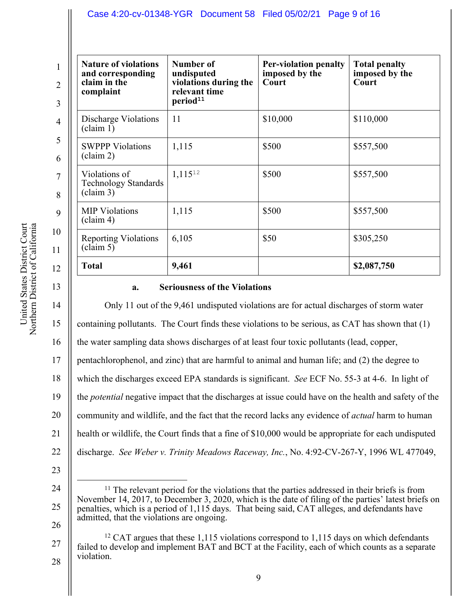## Case 4:20-cv-01348-YGR Document 58 Filed 05/02/21 Page 9 of 16

| <b>Nature of violations</b><br>and corresponding<br>claim in the<br>complaint | <b>Number of</b><br>undisputed<br>violations during the<br>relevant time<br>period <sup>11</sup> | <b>Per-violation penalty</b><br>imposed by the<br>Court | <b>Total penalty</b><br>imposed by the<br>Court |
|-------------------------------------------------------------------------------|--------------------------------------------------------------------------------------------------|---------------------------------------------------------|-------------------------------------------------|
| Discharge Violations<br>claim 1)                                              | 11                                                                                               | \$10,000                                                | \$110,000                                       |
| <b>SWPPP Violations</b><br>claim 2)                                           | 1,115                                                                                            | \$500                                                   | \$557,500                                       |
| Violations of<br><b>Technology Standards</b><br>claim 3)                      | 1,115 <sup>12</sup>                                                                              | \$500                                                   | \$557,500                                       |
| <b>MIP</b> Violations<br>claim 4)                                             | 1,115                                                                                            | \$500                                                   | \$557,500                                       |
| <b>Reporting Violations</b><br>claim 5)                                       | 6,105                                                                                            | \$50                                                    | \$305,250                                       |
| <b>Total</b>                                                                  | 9,461                                                                                            |                                                         | \$2,087,750                                     |

#### 13

#### **a. Seriousness of the Violations**

14 15 16 17 18 19 20 21 22 Only 11 out of the 9,461 undisputed violations are for actual discharges of storm water containing pollutants. The Court finds these violations to be serious, as CAT has shown that (1) the water sampling data shows discharges of at least four toxic pollutants (lead, copper, pentachlorophenol, and zinc) that are harmful to animal and human life; and (2) the degree to which the discharges exceed EPA standards is significant. *See* ECF No. 55-3 at 4-6. In light of the *potential* negative impact that the discharges at issue could have on the health and safety of the community and wildlife, and the fact that the record lacks any evidence of *actual* harm to human health or wildlife, the Court finds that a fine of \$10,000 would be appropriate for each undisputed discharge. *See Weber v. Trinity Meadows Raceway, Inc.*, No. 4:92-CV-267-Y, 1996 WL 477049,

- 23
- 24

25

26

<sup>&</sup>lt;sup>11</sup> The relevant period for the violations that the parties addressed in their briefs is from November 14, 2017, to December 3, 2020, which is the date of filing of the parties' latest briefs on penalties, which is a period of 1,115 days. That being said, CAT alleges, and defendants have admitted, that the violations are ongoing.

<sup>27</sup> 28  $12$  CAT argues that these 1,115 violations correspond to 1,115 days on which defendants failed to develop and implement BAT and BCT at the Facility, each of which counts as a separate violation.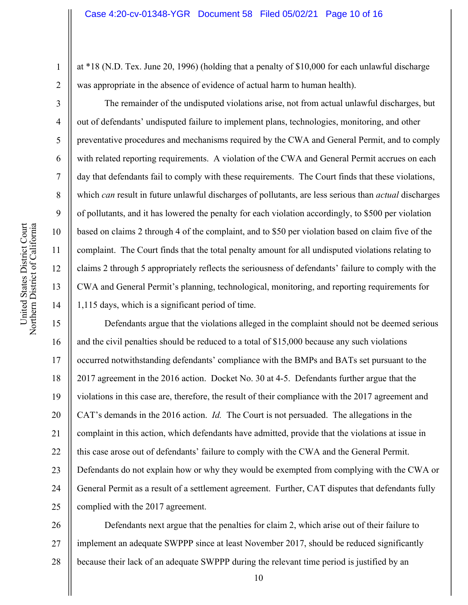at \*18 (N.D. Tex. June 20, 1996) (holding that a penalty of \$10,000 for each unlawful discharge was appropriate in the absence of evidence of actual harm to human health).

The remainder of the undisputed violations arise, not from actual unlawful discharges, but out of defendants' undisputed failure to implement plans, technologies, monitoring, and other preventative procedures and mechanisms required by the CWA and General Permit, and to comply with related reporting requirements. A violation of the CWA and General Permit accrues on each day that defendants fail to comply with these requirements. The Court finds that these violations, which *can* result in future unlawful discharges of pollutants, are less serious than *actual* discharges of pollutants, and it has lowered the penalty for each violation accordingly, to \$500 per violation based on claims 2 through 4 of the complaint, and to \$50 per violation based on claim five of the complaint. The Court finds that the total penalty amount for all undisputed violations relating to claims 2 through 5 appropriately reflects the seriousness of defendants' failure to comply with the CWA and General Permit's planning, technological, monitoring, and reporting requirements for 1,115 days, which is a significant period of time.

15 16 17 18 19 20 21 22 23 24 25 Defendants argue that the violations alleged in the complaint should not be deemed serious and the civil penalties should be reduced to a total of \$15,000 because any such violations occurred notwithstanding defendants' compliance with the BMPs and BATs set pursuant to the 2017 agreement in the 2016 action. Docket No. 30 at 4-5. Defendants further argue that the violations in this case are, therefore, the result of their compliance with the 2017 agreement and CAT's demands in the 2016 action. *Id.* The Court is not persuaded. The allegations in the complaint in this action, which defendants have admitted, provide that the violations at issue in this case arose out of defendants' failure to comply with the CWA and the General Permit. Defendants do not explain how or why they would be exempted from complying with the CWA or General Permit as a result of a settlement agreement. Further, CAT disputes that defendants fully complied with the 2017 agreement.

26 27 28 Defendants next argue that the penalties for claim 2, which arise out of their failure to implement an adequate SWPPP since at least November 2017, should be reduced significantly because their lack of an adequate SWPPP during the relevant time period is justified by an

1

2

3

4

5

6

7

8

9

10

11

12

13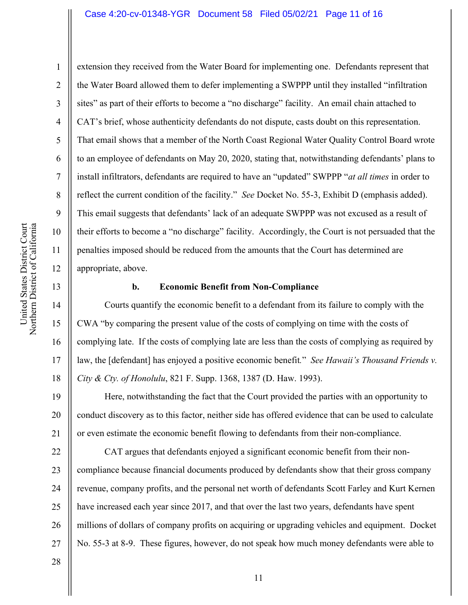United States District Court<br>Northern District of California United States District Court Northern District of California

1

2

3

4

5

6

7

8

9

10

11

12

13

14

15

16

17

18

extension they received from the Water Board for implementing one. Defendants represent that the Water Board allowed them to defer implementing a SWPPP until they installed "infiltration sites" as part of their efforts to become a "no discharge" facility. An email chain attached to CAT's brief, whose authenticity defendants do not dispute, casts doubt on this representation. That email shows that a member of the North Coast Regional Water Quality Control Board wrote to an employee of defendants on May 20, 2020, stating that, notwithstanding defendants' plans to install infiltrators, defendants are required to have an "updated" SWPPP "*at all times* in order to reflect the current condition of the facility." *See* Docket No. 55-3, Exhibit D (emphasis added). This email suggests that defendants' lack of an adequate SWPPP was not excused as a result of their efforts to become a "no discharge" facility. Accordingly, the Court is not persuaded that the penalties imposed should be reduced from the amounts that the Court has determined are appropriate, above.

# **b. Economic Benefit from Non-Compliance**

Courts quantify the economic benefit to a defendant from its failure to comply with the CWA "by comparing the present value of the costs of complying on time with the costs of complying late. If the costs of complying late are less than the costs of complying as required by law, the [defendant] has enjoyed a positive economic benefit*.*" *See Hawaii's Thousand Friends v. City & Cty. of Honolulu*, 821 F. Supp. 1368, 1387 (D. Haw. 1993).

19 20 21 Here, notwithstanding the fact that the Court provided the parties with an opportunity to conduct discovery as to this factor, neither side has offered evidence that can be used to calculate or even estimate the economic benefit flowing to defendants from their non-compliance.

22 23 24 25 26 27 CAT argues that defendants enjoyed a significant economic benefit from their noncompliance because financial documents produced by defendants show that their gross company revenue, company profits, and the personal net worth of defendants Scott Farley and Kurt Kernen have increased each year since 2017, and that over the last two years, defendants have spent millions of dollars of company profits on acquiring or upgrading vehicles and equipment. Docket No. 55-3 at 8-9. These figures, however, do not speak how much money defendants were able to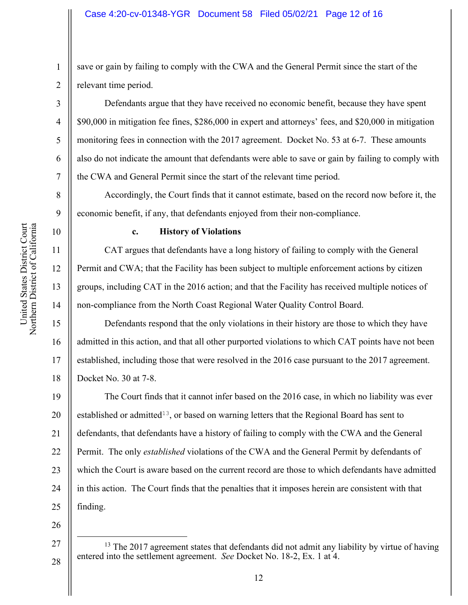save or gain by failing to comply with the CWA and the General Permit since the start of the relevant time period.

Defendants argue that they have received no economic benefit, because they have spent \$90,000 in mitigation fee fines, \$286,000 in expert and attorneys' fees, and \$20,000 in mitigation monitoring fees in connection with the 2017 agreement. Docket No. 53 at 6-7. These amounts also do not indicate the amount that defendants were able to save or gain by failing to comply with the CWA and General Permit since the start of the relevant time period.

Accordingly, the Court finds that it cannot estimate, based on the record now before it, the economic benefit, if any, that defendants enjoyed from their non-compliance.

10

1

2

3

4

5

6

7

8

9

11

12

13

14

15

16

17

18

## **c. History of Violations**

CAT argues that defendants have a long history of failing to comply with the General Permit and CWA; that the Facility has been subject to multiple enforcement actions by citizen groups, including CAT in the 2016 action; and that the Facility has received multiple notices of non-compliance from the North Coast Regional Water Quality Control Board.

Defendants respond that the only violations in their history are those to which they have admitted in this action, and that all other purported violations to which CAT points have not been established, including those that were resolved in the 2016 case pursuant to the 2017 agreement. Docket No. 30 at 7-8.

19 20 21 22 23 24 25 The Court finds that it cannot infer based on the 2016 case, in which no liability was ever established or admitted<sup>13</sup>, or based on warning letters that the Regional Board has sent to defendants, that defendants have a history of failing to comply with the CWA and the General Permit. The only *established* violations of the CWA and the General Permit by defendants of which the Court is aware based on the current record are those to which defendants have admitted in this action. The Court finds that the penalties that it imposes herein are consistent with that finding.

26

 $13$  The 2017 agreement states that defendants did not admit any liability by virtue of having entered into the settlement agreement. *See* Docket No. 18-2, Ex. 1 at 4.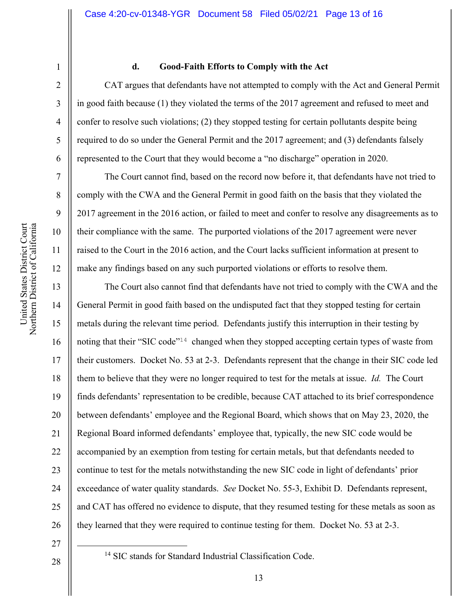2 3 4

5

6

7

8

9

10

11

12

1

### **d. Good-Faith Efforts to Comply with the Act**

CAT argues that defendants have not attempted to comply with the Act and General Permit in good faith because (1) they violated the terms of the 2017 agreement and refused to meet and confer to resolve such violations; (2) they stopped testing for certain pollutants despite being required to do so under the General Permit and the 2017 agreement; and (3) defendants falsely represented to the Court that they would become a "no discharge" operation in 2020.

The Court cannot find, based on the record now before it, that defendants have not tried to comply with the CWA and the General Permit in good faith on the basis that they violated the 2017 agreement in the 2016 action, or failed to meet and confer to resolve any disagreements as to their compliance with the same. The purported violations of the 2017 agreement were never raised to the Court in the 2016 action, and the Court lacks sufficient information at present to make any findings based on any such purported violations or efforts to resolve them.

13 14 15 16 17 18 19 20 21 22 23 24 25 26 The Court also cannot find that defendants have not tried to comply with the CWA and the General Permit in good faith based on the undisputed fact that they stopped testing for certain metals during the relevant time period. Defendants justify this interruption in their testing by noting that their "SIC code"<sup>14</sup> changed when they stopped accepting certain types of waste from their customers. Docket No. 53 at 2-3. Defendants represent that the change in their SIC code led them to believe that they were no longer required to test for the metals at issue. *Id.* The Court finds defendants' representation to be credible, because CAT attached to its brief correspondence between defendants' employee and the Regional Board, which shows that on May 23, 2020, the Regional Board informed defendants' employee that, typically, the new SIC code would be accompanied by an exemption from testing for certain metals, but that defendants needed to continue to test for the metals notwithstanding the new SIC code in light of defendants' prior exceedance of water quality standards. *See* Docket No. 55-3, Exhibit D. Defendants represent, and CAT has offered no evidence to dispute, that they resumed testing for these metals as soon as they learned that they were required to continue testing for them. Docket No. 53 at 2-3.

United States District Court<br>Northern District of California United States District Court Northern District of California

28

27

<sup>14</sup> SIC stands for Standard Industrial Classification Code.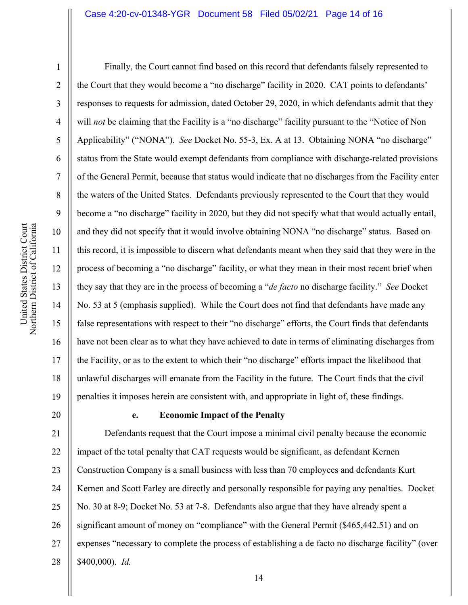#### Case 4:20-cv-01348-YGR Document 58 Filed 05/02/21 Page 14 of 16

Finally, the Court cannot find based on this record that defendants falsely represented to the Court that they would become a "no discharge" facility in 2020. CAT points to defendants' responses to requests for admission, dated October 29, 2020, in which defendants admit that they will *not* be claiming that the Facility is a "no discharge" facility pursuant to the "Notice of Non Applicability" ("NONA"). *See* Docket No. 55-3, Ex. A at 13. Obtaining NONA "no discharge" status from the State would exempt defendants from compliance with discharge-related provisions of the General Permit, because that status would indicate that no discharges from the Facility enter the waters of the United States. Defendants previously represented to the Court that they would become a "no discharge" facility in 2020, but they did not specify what that would actually entail, and they did not specify that it would involve obtaining NONA "no discharge" status. Based on this record, it is impossible to discern what defendants meant when they said that they were in the process of becoming a "no discharge" facility, or what they mean in their most recent brief when they say that they are in the process of becoming a "*de facto* no discharge facility." *See* Docket No. 53 at 5 (emphasis supplied). While the Court does not find that defendants have made any false representations with respect to their "no discharge" efforts, the Court finds that defendants have not been clear as to what they have achieved to date in terms of eliminating discharges from the Facility, or as to the extent to which their "no discharge" efforts impact the likelihood that unlawful discharges will emanate from the Facility in the future. The Court finds that the civil penalties it imposes herein are consistent with, and appropriate in light of, these findings.

# 20

1

2

3

4

5

6

7

8

9

10

11

12

13

14

15

16

17

18

19

## **e. Economic Impact of the Penalty**

21 22 23 24 25 26 27 28 Defendants request that the Court impose a minimal civil penalty because the economic impact of the total penalty that CAT requests would be significant, as defendant Kernen Construction Company is a small business with less than 70 employees and defendants Kurt Kernen and Scott Farley are directly and personally responsible for paying any penalties. Docket No. 30 at 8-9; Docket No. 53 at 7-8. Defendants also argue that they have already spent a significant amount of money on "compliance" with the General Permit (\$465,442.51) and on expenses "necessary to complete the process of establishing a de facto no discharge facility" (over \$400,000). *Id.*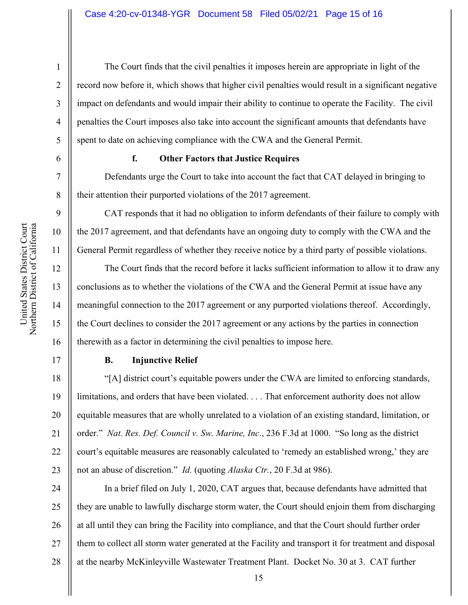United States District Court<br>Northern District of California United States District Court Northern District of California

The Court finds that the civil penalties it imposes herein are appropriate in light of the record now before it, which shows that higher civil penalties would result in a significant negative impact on defendants and would impair their ability to continue to operate the Facility. The civil penalties the Court imposes also take into account the significant amounts that defendants have spent to date on achieving compliance with the CWA and the General Permit.

### **f. Other Factors that Justice Requires**

Defendants urge the Court to take into account the fact that CAT delayed in bringing to their attention their purported violations of the 2017 agreement.

CAT responds that it had no obligation to inform defendants of their failure to comply with the 2017 agreement, and that defendants have an ongoing duty to comply with the CWA and the General Permit regardless of whether they receive notice by a third party of possible violations.

The Court finds that the record before it lacks sufficient information to allow it to draw any conclusions as to whether the violations of the CWA and the General Permit at issue have any meaningful connection to the 2017 agreement or any purported violations thereof. Accordingly, the Court declines to consider the 2017 agreement or any actions by the parties in connection therewith as a factor in determining the civil penalties to impose here.

17

1

2

3

4

5

6

7

8

9

10

11

12

13

14

15

16

#### **B. Injunctive Relief**

18 19 20 21 22 23 "[A] district court's equitable powers under the CWA are limited to enforcing standards, limitations, and orders that have been violated. . . . That enforcement authority does not allow equitable measures that are wholly unrelated to a violation of an existing standard, limitation, or order." *Nat. Res. Def. Council v. Sw. Marine, Inc*., 236 F.3d at 1000. "So long as the district court's equitable measures are reasonably calculated to 'remedy an established wrong,' they are not an abuse of discretion." *Id.* (quoting *Alaska Ctr.*, 20 F.3d at 986).

24 25 26 27 28 In a brief filed on July 1, 2020, CAT argues that, because defendants have admitted that they are unable to lawfully discharge storm water, the Court should enjoin them from discharging at all until they can bring the Facility into compliance, and that the Court should further order them to collect all storm water generated at the Facility and transport it for treatment and disposal at the nearby McKinleyville Wastewater Treatment Plant. Docket No. 30 at 3. CAT further